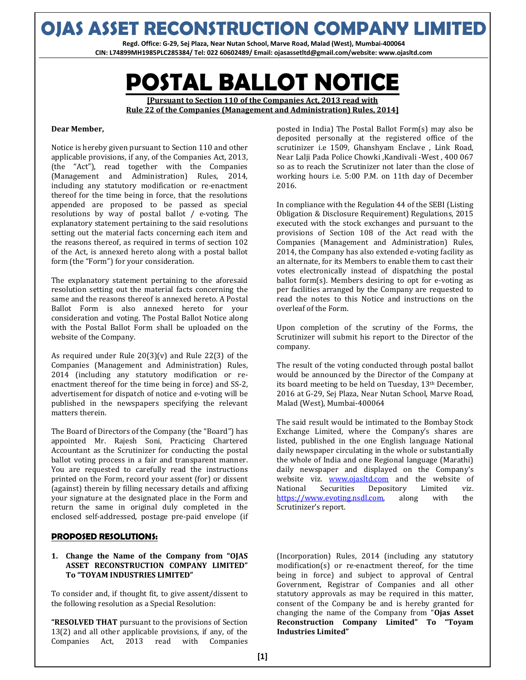### **OJAS ASSET RECONSTRUCTION COMPANY LIMITED**

**Regd. Office: G-29, Sej Plaza, Near Nutan School, Marve Road, Malad (West), Mumbai-400064 CIN: L74899MH1985PLC285384/ Tel: 022 60602489/ Email: ojasassetltd@gmail.com/website: www.ojasltd.com**

# **POSTAL BALLOT NOTICE**

**[Pursuant to Section 110 of the Companies Act, 2013 read with**

**Rule 22 of the Companies (Management and Administration) Rules, 2014]**

#### **Dear Member,**

Notice is hereby given pursuant to Section 110 and other applicable provisions, if any, of the Companies Act, 2013, (the "Act"), read together with the Companies (Management and Administration) Rules, 2014, including any statutory modification or re-enactment thereof for the time being in force, that the resolutions appended are proposed to be passed as special resolutions by way of postal ballot / e-voting. The explanatory statement pertaining to the said resolutions setting out the material facts concerning each item and the reasons thereof, as required in terms of section 102 of the Act, is annexed hereto along with a postal ballot form (the "Form") for your consideration.

The explanatory statement pertaining to the aforesaid resolution setting out the material facts concerning the same and the reasons thereof is annexed hereto. A Postal Ballot Form is also annexed hereto for your consideration and voting. The Postal Ballot Notice along with the Postal Ballot Form shall be uploaded on the website of the Company.

As required under Rule  $20(3)(v)$  and Rule 22(3) of the Companies (Management and Administration) Rules, 2014 (including any statutory modification or reenactment thereof for the time being in force) and SS-2, advertisement for dispatch of notice and e-voting will be published in the newspapers specifying the relevant matters therein.

The Board of Directors of the Company (the "Board") has appointed Mr. Rajesh Soni, Practicing Chartered Accountant as the Scrutinizer for conducting the postal ballot voting process in a fair and transparent manner. You are requested to carefully read the instructions printed on the Form, record your assent (for) or dissent (against) therein by filling necessary details and affixing your signature at the designated place in the Form and return the same in original duly completed in the enclosed self-addressed, postage pre-paid envelope (if

#### **PROPOSED RESOLUTIONS:**

#### **1. Change the Name of the Company from "OJAS ASSET RECONSTRUCTION COMPANY LIMITED" To "TOYAM INDUSTRIES LIMITED"**

To consider and, if thought fit, to give assent/dissent to the following resolution as a Special Resolution:

**"RESOLVED THAT** pursuant to the provisions of Section 13(2) and all other applicable provisions, if any, of the Companies Act, 2013 read with Companies

posted in India) The Postal Ballot Form(s) may also be deposited personally at the registered office of the scrutinizer i.e 1509, Ghanshyam Enclave , Link Road, Near Lalji Pada Police Chowki ,Kandivali -West , 400 067 so as to reach the Scrutinizer not later than the close of working hours i.e. 5:00 P.M. on 11th day of December 2016.

In compliance with the Regulation 44 of the SEBI (Listing Obligation & Disclosure Requirement) Regulations, 2015 executed with the stock exchanges and pursuant to the provisions of Section 108 of the Act read with the Companies (Management and Administration) Rules, 2014, the Company has also extended e-voting facility as an alternate, for its Members to enable them to cast their votes electronically instead of dispatching the postal ballot form(s). Members desiring to opt for e-voting as per facilities arranged by the Company are requested to read the notes to this Notice and instructions on the overleaf of the Form.

Upon completion of the scrutiny of the Forms, the Scrutinizer will submit his report to the Director of the company.

The result of the voting conducted through postal ballot would be announced by the Director of the Company at its board meeting to be held on Tuesday, 13th December, 2016 at G-29, Sej Plaza, Near Nutan School, Marve Road, Malad (West), Mumbai-400064

The said result would be intimated to the Bombay Stock Exchange Limited, where the Company's shares are listed, published in the one English language National daily newspaper circulating in the whole or substantially the whole of India and one Regional language (Marathi) daily newspaper and displayed on the Company's website viz. www.ojasltd.com and the website of National Securities Depository Limited viz. https://www.evoting.nsdl.com, along with the Scrutinizer's report.

(Incorporation) Rules, 2014 (including any statutory modification(s) or re-enactment thereof, for the time being in force) and subject to approval of Central Government, Registrar of Companies and all other statutory approvals as may be required in this matter, consent of the Company be and is hereby granted for changing the name of the Company from "**Ojas Asset Reconstruction Company Limited" To "Toyam Industries Limited"**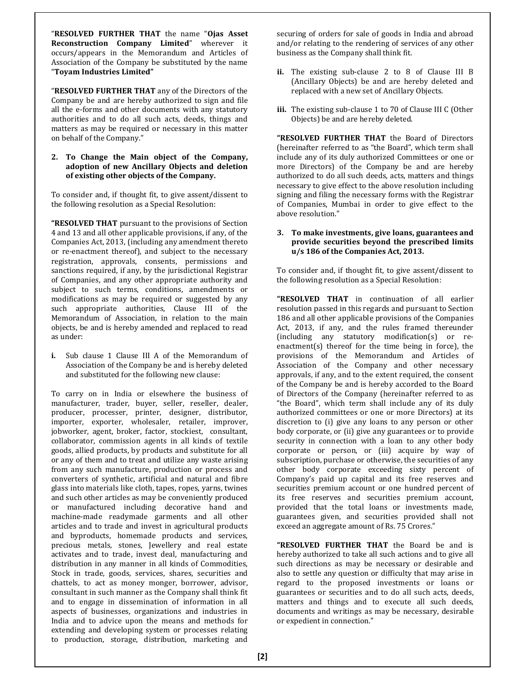"**RESOLVED FURTHER THAT** the name "**Ojas Asset Reconstruction Company Limited**" wherever it occurs/appears in the Memorandum and Articles of Association of the Company be substituted by the name "**Toyam Industries Limited"**

"**RESOLVED FURTHER THAT** any of the Directors of the Company be and are hereby authorized to sign and file all the e-forms and other documents with any statutory authorities and to do all such acts, deeds, things and matters as may be required or necessary in this matter on behalf of the Company."

#### **2. To Change the Main object of the Company, adoption of new Ancillary Objects and deletion of existing other objects of the Company.**

To consider and, if thought fit, to give assent/dissent to the following resolution as a Special Resolution:

**"RESOLVED THAT** pursuant to the provisions of Section 4 and 13 and all other applicable provisions, if any, of the Companies Act, 2013, (including any amendment thereto or re-enactment thereof), and subject to the necessary registration, approvals, consents, permissions and sanctions required, if any, by the jurisdictional Registrar of Companies, and any other appropriate authority and subject to such terms, conditions, amendments or modifications as may be required or suggested by any such appropriate authorities, Clause III of the Memorandum of Association, in relation to the main objects, be and is hereby amended and replaced to read as under:

**i.** Sub clause 1 Clause III A of the Memorandum of Association of the Company be and is hereby deleted and substituted for the following new clause:

To carry on in India or elsewhere the business of manufacturer, trader, buyer, seller, reseller, dealer, producer, processer, printer, designer, distributor, importer, exporter, wholesaler, retailer, improver, jobworker, agent, broker, factor, stockiest, consultant, collaborator, commission agents in all kinds of textile goods, allied products, by products and substitute for all or any of them and to treat and utilize any waste arising from any such manufacture, production or process and converters of synthetic, artificial and natural and fibre glass into materials like cloth, tapes, ropes, yarns, twines and such other articles as may be conveniently produced or manufactured including decorative hand and machine-made readymade garments and all other articles and to trade and invest in agricultural products and byproducts, homemade products and services, precious metals, stones, Jewellery and real estate activates and to trade, invest deal, manufacturing and distribution in any manner in all kinds of Commodities, Stock in trade, goods, services, shares, securities and chattels, to act as money monger, borrower, advisor, consultant in such manner as the Company shall think fit and to engage in dissemination of information in all aspects of businesses, organizations and industries in India and to advice upon the means and methods for extending and developing system or processes relating to production, storage, distribution, marketing and

securing of orders for sale of goods in India and abroad and/or relating to the rendering of services of any other business as the Company shall think fit.

- **ii.** The existing sub-clause 2 to 8 of Clause III B (Ancillary Objects) be and are hereby deleted and replaced with a new set of Ancillary Objects.
- **iii.** The existing sub-clause 1 to 70 of Clause III C (Other Objects) be and are hereby deleted.

**"RESOLVED FURTHER THAT** the Board of Directors (hereinafter referred to as "the Board", which term shall include any of its duly authorized Committees or one or more Directors) of the Company be and are hereby authorized to do all such deeds, acts, matters and things necessary to give effect to the above resolution including signing and filing the necessary forms with the Registrar of Companies, Mumbai in order to give effect to the above resolution."

#### **3. To make investments, give loans, guarantees and provide securities beyond the prescribed limits u/s 186 of the Companies Act, 2013.**

To consider and, if thought fit, to give assent/dissent to the following resolution as a Special Resolution:

**"RESOLVED THAT** in continuation of all earlier resolution passed in this regards and pursuant to Section 186 and all other applicable provisions of the Companies Act, 2013, if any, and the rules framed thereunder (including any statutory modification(s) or reenactment(s) thereof for the time being in force), the provisions of the Memorandum and Articles of Association of the Company and other necessary approvals, if any, and to the extent required, the consent of the Company be and is hereby accorded to the Board of Directors of the Company (hereinafter referred to as "the Board", which term shall include any of its duly authorized committees or one or more Directors) at its discretion to (i) give any loans to any person or other body corporate, or (ii) give any guarantees or to provide security in connection with a loan to any other body corporate or person, or (iii) acquire by way of subscription, purchase or otherwise, the securities of any other body corporate exceeding sixty percent of Company's paid up capital and its free reserves and securities premium account or one hundred percent of its free reserves and securities premium account, provided that the total loans or investments made, guarantees given, and securities provided shall not exceed an aggregate amount of Rs. 75 Crores."

**"RESOLVED FURTHER THAT** the Board be and is hereby authorized to take all such actions and to give all such directions as may be necessary or desirable and also to settle any question or difficulty that may arise in regard to the proposed investments or loans or guarantees or securities and to do all such acts, deeds, matters and things and to execute all such deeds, documents and writings as may be necessary, desirable or expedient in connection."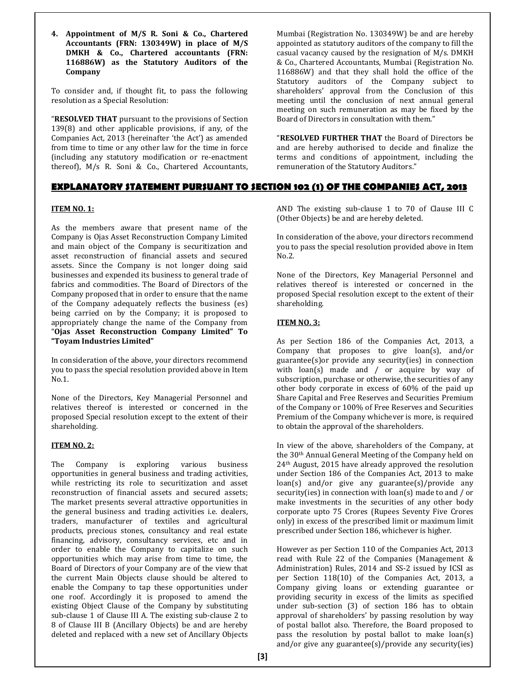**4. Appointment of M/S R. Soni & Co., Chartered Accountants (FRN: 130349W) in place of M/S DMKH & Co., Chartered accountants (FRN: 116886W) as the Statutory Auditors of the Company**

To consider and, if thought fit, to pass the following resolution as a Special Resolution:

"**RESOLVED THAT** pursuant to the provisions of Section 139(8) and other applicable provisions, if any, of the Companies Act, 2013 (hereinafter 'the Act') as amended from time to time or any other law for the time in force (including any statutory modification or re-enactment thereof), M/s R. Soni & Co., Chartered Accountants,

Mumbai (Registration No. 130349W) be and are hereby appointed as statutory auditors of the company to fill the casual vacancy caused by the resignation of M/s. DMKH & Co., Chartered Accountants, Mumbai (Registration No. 116886W) and that they shall hold the office of the Statutory auditors of the Company subject to shareholders' approval from the Conclusion of this meeting until the conclusion of next annual general meeting on such remuneration as may be fixed by the Board of Directors in consultation with them."

"**RESOLVED FURTHER THAT** the Board of Directors be and are hereby authorised to decide and finalize the terms and conditions of appointment, including the remuneration of the Statutory Auditors."

#### **EXPLANATORY STATEMENT PURSUANT TO SECTION 102 (1) OF THE COMPANIES ACT, 2013**

#### **ITEM NO. 1:**

As the members aware that present name of the Company is Ojas Asset Reconstruction Company Limited and main object of the Company is securitization and asset reconstruction of financial assets and secured assets. Since the Company is not longer doing said businesses and expended its business to general trade of fabrics and commodities. The Board of Directors of the Company proposed that in order to ensure that the name of the Company adequately reflects the business (es) being carried on by the Company; it is proposed to appropriately change the name of the Company from "**Ojas Asset Reconstruction Company Limited" To "Toyam Industries Limited"**

In consideration of the above, your directors recommend you to pass the special resolution provided above in Item No.1.

None of the Directors, Key Managerial Personnel and relatives thereof is interested or concerned in the proposed Special resolution except to the extent of their shareholding.

#### **ITEM NO. 2:**

The Company is exploring various business opportunities in general business and trading activities, while restricting its role to securitization and asset reconstruction of financial assets and secured assets; The market presents several attractive opportunities in the general business and trading activities i.e. dealers, traders, manufacturer of textiles and agricultural products, precious stones, consultancy and real estate financing, advisory, consultancy services, etc and in order to enable the Company to capitalize on such opportunities which may arise from time to time, the Board of Directors of your Company are of the view that the current Main Objects clause should be altered to enable the Company to tap these opportunities under one roof. Accordingly it is proposed to amend the existing Object Clause of the Company by substituting sub-clause 1 of Clause III A. The existing sub-clause 2 to 8 of Clause III B (Ancillary Objects) be and are hereby deleted and replaced with a new set of Ancillary Objects

AND The existing sub-clause 1 to 70 of Clause III C (Other Objects) be and are hereby deleted.

In consideration of the above, your directors recommend you to pass the special resolution provided above in Item No.2.

None of the Directors, Key Managerial Personnel and relatives thereof is interested or concerned in the proposed Special resolution except to the extent of their shareholding.

#### **ITEM NO. 3:**

As per Section 186 of the Companies Act, 2013, a Company that proposes to give loan(s), and/or guarantee(s)or provide any security(ies) in connection with loan(s) made and / or acquire by way of subscription, purchase or otherwise, the securities of any other body corporate in excess of 60% of the paid up Share Capital and Free Reserves and Securities Premium of the Company or 100% of Free Reserves and Securities Premium of the Company whichever is more, is required to obtain the approval of the shareholders.

In view of the above, shareholders of the Company, at the 30th Annual General Meeting of the Company held on 24th August, 2015 have already approved the resolution under Section 186 of the Companies Act, 2013 to make loan(s) and/or give any guarantee(s)/provide any security(ies) in connection with loan(s) made to and / or make investments in the securities of any other body corporate upto 75 Crores (Rupees Seventy Five Crores only) in excess of the prescribed limit or maximum limit prescribed under Section 186, whichever is higher.

However as per Section 110 of the Companies Act, 2013 read with Rule 22 of the Companies (Management & Administration) Rules, 2014 and SS-2 issued by ICSI as per Section 118(10) of the Companies Act, 2013, a Company giving loans or extending guarantee or providing security in excess of the limits as specified under sub-section (3) of section 186 has to obtain approval of shareholders' by passing resolution by way of postal ballot also. Therefore, the Board proposed to pass the resolution by postal ballot to make loan(s) and/or give any guarantee(s)/provide any security(ies)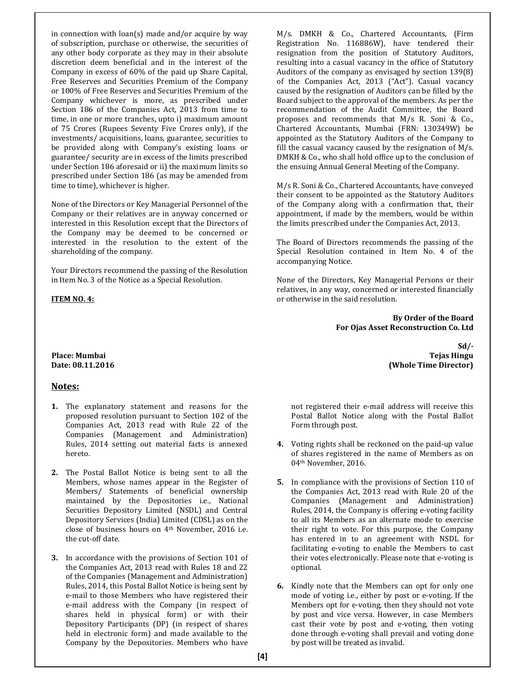in connection with loan(s) made and/or acquire by way of subscription, purchase or otherwise, the securities of any other body corporate as they may in their absolute discretion deem beneficial and in the interest of the Company in excess of 60% of the paid up Share Capital, Free Reserves and Securities Premium of the Company or 100% of Free Reserves and Securities Premium of the Company whichever is more, as prescribed under Section 186 of the Companies Act, 2013 from time to time, in one or more tranches, upto i) maximum amount of 75 Crores (Rupees Seventy Five Crores only), if the investments/ acquisitions, loans, guarantee, securities to be provided along with Company's existing loans or guarantee/ security are in excess of the limits prescribed under Section 186 aforesaid or ii) the maximum limits so prescribed under Section 186 (as may be amended from time to time), whichever is higher.

None of the Directors or Key Managerial Personnel of the Company or their relatives are in anyway concerned or interested in this Resolution except that the Directors of the Company may be deemed to be concerned or interested in the resolution to the extent of the shareholding of the company.

Your Directors recommend the passing of the Resolution in Item No. 3 of the Notice as a Special Resolution.

#### **ITEM NO. 4:**

#### **Notes:**

- **1.** The explanatory statement and reasons for the proposed resolution pursuant to Section 102 of the Companies Act, 2013 read with Rule 22 of the Companies (Management and Administration) Rules, 2014 setting out material facts is annexed hereto.
- **2.** The Postal Ballot Notice is being sent to all the Members, whose names appear in the Register of Members/ Statements of beneficial ownership maintained by the Depositories i.e., National Securities Depository Limited (NSDL) and Central Depository Services (India) Limited (CDSL) as on the close of business hours on 4th November, 2016 i.e. the cut-off date.
- **3.** In accordance with the provisions of Section 101 of the Companies Act, 2013 read with Rules 18 and 22 of the Companies (Management and Administration) Rules, 2014, this Postal Ballot Notice is being sent by e-mail to those Members who have registered their e-mail address with the Company (in respect of shares held in physical form) or with their Depository Participants (DP) (in respect of shares held in electronic form) and made available to the Company by the Depositories. Members who have

M/s. DMKH & Co., Chartered Accountants, (Firm Registration No. 116886W), have tendered their resignation from the position of Statutory Auditors, resulting into a casual vacancy in the office of Statutory Auditors of the company as envisaged by section 139(8) of the Companies Act, 2013 ("Act"). Casual vacancy caused by the resignation of Auditors can be filled by the Board subject to the approval of the members. As per the recommendation of the Audit Committee, the Board proposes and recommends that M/s R. Soni & Co., Chartered Accountants, Mumbai (FRN: 130349W) be appointed as the Statutory Auditors of the Company to fill the casual vacancy caused by the resignation of M/s. DMKH & Co., who shall hold office up to the conclusion of the ensuing Annual General Meeting of the Company.

M/s R. Soni & Co., Chartered Accountants, have conveyed their consent to be appointed as the Statutory Auditors of the Company along with a confirmation that, their appointment, if made by the members, would be within the limits prescribed under the Companies Act, 2013.

The Board of Directors recommends the passing of the Special Resolution contained in Item No. 4 of the accompanying Notice.

None of the Directors, Key Managerial Persons or their relatives, in any way, concerned or interested financially or otherwise in the said resolution.

> **By Order of the Board For Ojas Asset Reconstruction Co. Ltd**

**Sd/- Place: Mumbai Tejas Hingu Date: 08.11.2016 (Whole Time Director)**

> not registered their e-mail address will receive this Postal Ballot Notice along with the Postal Ballot Form through post.

- **4.** Voting rights shall be reckoned on the paid-up value of shares registered in the name of Members as on 04th November, 2016.
- **5.** In compliance with the provisions of Section 110 of the Companies Act, 2013 read with Rule 20 of the Companies (Management and Administration) Rules, 2014, the Company is offering e-voting facility to all its Members as an alternate mode to exercise their right to vote. For this purpose, the Company has entered in to an agreement with NSDL for facilitating e-voting to enable the Members to cast their votes electronically. Please note that e-voting is optional.
- **6.** Kindly note that the Members can opt for only one mode of voting i.e., either by post or e-voting. If the Members opt for e-voting, then they should not vote by post and vice versa. However, in case Members cast their vote by post and e-voting, then voting done through e-voting shall prevail and voting done by post will be treated as invalid.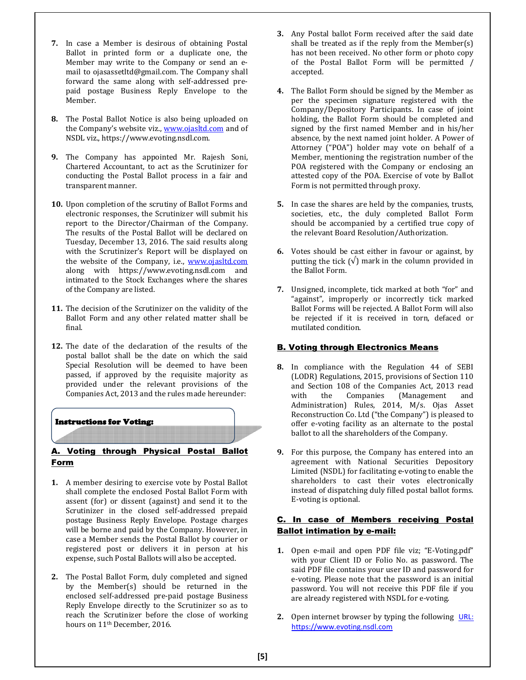- **7.** In case a Member is desirous of obtaining Postal Ballot in printed form or a duplicate one, the Member may write to the Company or send an email to ojasassetltd@gmail.com. The Company shall forward the same along with self-addressed prepaid postage Business Reply Envelope to the Member.
- **8.** The Postal Ballot Notice is also being uploaded on the Company's website viz., www.ojasltd.com and of NSDL viz., https://www.evoting.nsdl.com.
- **9.** The Company has appointed Mr. Rajesh Soni, Chartered Accountant, to act as the Scrutinizer for conducting the Postal Ballot process in a fair and transparent manner.
- **10.** Upon completion of the scrutiny of Ballot Forms and electronic responses, the Scrutinizer will submit his report to the Director/Chairman of the Company. The results of the Postal Ballot will be declared on Tuesday, December 13, 2016. The said results along with the Scrutinizer's Report will be displayed on the website of the Company, i.e., www.ojasltd.com along with https://www.evoting.nsdl.com and intimated to the Stock Exchanges where the shares of the Company are listed.
- **11.** The decision of the Scrutinizer on the validity of the Ballot Form and any other related matter shall be final.
- **12.** The date of the declaration of the results of the postal ballot shall be the date on which the said Special Resolution will be deemed to have been passed, if approved by the requisite majority as provided under the relevant provisions of the Companies Act, 2013 and the rules made hereunder:

#### Instructions for Voting:

#### A. Voting through Physical Postal Ballot Form

- **1.** A member desiring to exercise vote by Postal Ballot shall complete the enclosed Postal Ballot Form with assent (for) or dissent (against) and send it to the Scrutinizer in the closed self-addressed prepaid postage Business Reply Envelope. Postage charges will be borne and paid by the Company. However, in case a Member sends the Postal Ballot by courier or registered post or delivers it in person at his expense, such Postal Ballots will also be accepted.
- **2.** The Postal Ballot Form, duly completed and signed by the Member(s) should be returned in the enclosed self-addressed pre-paid postage Business Reply Envelope directly to the Scrutinizer so as to reach the Scrutinizer before the close of working hours on 11th December, 2016.
- **3.** Any Postal ballot Form received after the said date shall be treated as if the reply from the Member(s) has not been received. No other form or photo copy of the Postal Ballot Form will be permitted / accepted.
- **4.** The Ballot Form should be signed by the Member as per the specimen signature registered with the Company/Depository Participants. In case of joint holding, the Ballot Form should be completed and signed by the first named Member and in his/her absence, by the next named joint holder. A Power of Attorney ("POA") holder may vote on behalf of a Member, mentioning the registration number of the POA registered with the Company or enclosing an attested copy of the POA. Exercise of vote by Ballot Form is not permitted through proxy.
- **5.** In case the shares are held by the companies, trusts, societies, etc., the duly completed Ballot Form should be accompanied by a certified true copy of the relevant Board Resolution/Authorization.
- **6.** Votes should be cast either in favour or against, by putting the tick  $(\sqrt{})$  mark in the column provided in the Ballot Form.
- **7.** Unsigned, incomplete, tick marked at both "for" and "against", improperly or incorrectly tick marked Ballot Forms will be rejected. A Ballot Form will also be rejected if it is received in torn, defaced or mutilated condition.

#### **B. Voting through Electronics Means**

- **8.** In compliance with the Regulation 44 of SEBI (LODR) Regulations, 2015, provisions of Section 110 and Section 108 of the Companies Act, 2013 read with the Companies (Management and Administration) Rules, 2014, M/s. Ojas Asset Reconstruction Co. Ltd ("the Company") is pleased to offer e-voting facility as an alternate to the postal ballot to all the shareholders of the Company.
- **9.** For this purpose, the Company has entered into an agreement with National Securities Depository Limited (NSDL) for facilitating e-voting to enable the shareholders to cast their votes electronically instead of dispatching duly filled postal ballot forms. E-voting is optional.

#### C. In case of Members receiving Postal Ballot intimation by e-mail:

- **1.** Open e-mail and open PDF file viz; "E-Voting.pdf" with your Client ID or Folio No. as password. The said PDF file contains your user ID and password for e-voting. Please note that the password is an initial password. You will not receive this PDF file if you are already registered with NSDL for e-voting.
- **2.** Open internet browser by typing the following URL: https://www.evoting.nsdl.com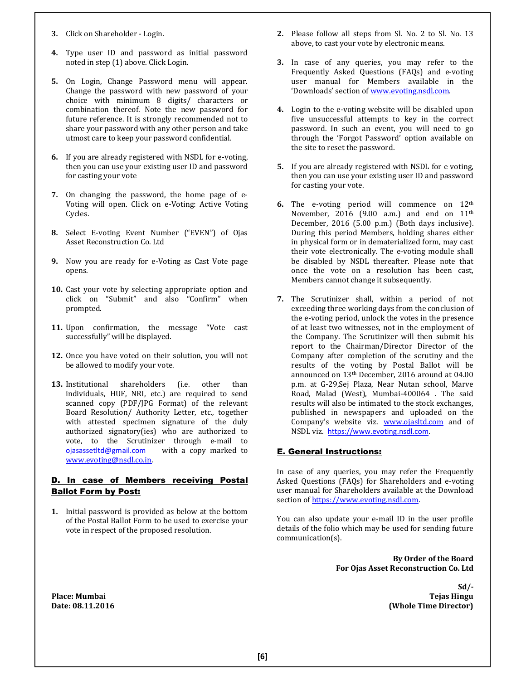- **3.** Click on Shareholder Login.
- **4.** Type user ID and password as initial password noted in step (1) above. Click Login.
- **5.** On Login, Change Password menu will appear. Change the password with new password of your choice with minimum 8 digits/ characters or combination thereof. Note the new password for future reference. It is strongly recommended not to share your password with any other person and take utmost care to keep your password confidential.
- **6.** If you are already registered with NSDL for e-voting, then you can use your existing user ID and password for casting your vote
- **7.** On changing the password, the home page of e-Voting will open. Click on e-Voting: Active Voting Cycles.
- **8.** Select E-voting Event Number ("EVEN") of Ojas Asset Reconstruction Co. Ltd
- **9.** Now you are ready for e-Voting as Cast Vote page opens.
- **10.** Cast your vote by selecting appropriate option and click on "Submit" and also "Confirm" when prompted.
- **11.** Upon confirmation, the message "Vote cast successfully" will be displayed.
- **12.** Once you have voted on their solution, you will not be allowed to modify your vote.
- **13.** Institutional shareholders (i.e. other than individuals, HUF, NRI, etc.) are required to send scanned copy (PDF/JPG Format) of the relevant Board Resolution/ Authority Letter, etc., together with attested specimen signature of the duly authorized signatory(ies) who are authorized to vote, to the Scrutinizer through e-mail to ojasassetltd@gmail.com with a copy marked to www.evoting@nsdl.co.in.

#### D. In case of Members receiving Postal Ballot Form by Post:

**1.** Initial password is provided as below at the bottom of the Postal Ballot Form to be used to exercise your vote in respect of the proposed resolution.

- **2.** Please follow all steps from Sl. No. 2 to Sl. No. 13 above, to cast your vote by electronic means.
- **3.** In case of any queries, you may refer to the Frequently Asked Questions (FAQs) and e-voting user manual for Members available in the 'Downloads' section of www.evoting.nsdl.com.
- **4.** Login to the e-voting website will be disabled upon five unsuccessful attempts to key in the correct password. In such an event, you will need to go through the 'Forgot Password' option available on the site to reset the password.
- **5.** If you are already registered with NSDL for e voting, then you can use your existing user ID and password for casting your vote.
- **6.** The e-voting period will commence on 12th November, 2016 (9.00 a.m.) and end on 11<sup>th</sup> December, 2016 (5.00 p.m.) (Both days inclusive). During this period Members, holding shares either in physical form or in dematerialized form, may cast their vote electronically. The e-voting module shall be disabled by NSDL thereafter. Please note that once the vote on a resolution has been cast, Members cannot change it subsequently.
- **7.** The Scrutinizer shall, within a period of not exceeding three working days from the conclusion of the e-voting period, unlock the votes in the presence of at least two witnesses, not in the employment of the Company. The Scrutinizer will then submit his report to the Chairman/Director Director of the Company after completion of the scrutiny and the results of the voting by Postal Ballot will be announced on 13th December, 2016 around at 04.00 p.m. at G-29,Sej Plaza, Near Nutan school, Marve Road, Malad (West), Mumbai-400064 . The said results will also be intimated to the stock exchanges, published in newspapers and uploaded on the Company's website viz. **www.ojasltd.com** and of NSDL viz. https://www.evoting.nsdl.com.

#### E. General Instructions:

In case of any queries, you may refer the Frequently Asked Questions (FAQs) for Shareholders and e-voting user manual for Shareholders available at the Download section of https://www.evoting.nsdl.com.

You can also update your e-mail ID in the user profile details of the folio which may be used for sending future communication(s).

> **By Order of the Board For Ojas Asset Reconstruction Co. Ltd**

**Sd/- Place: Mumbai Tejas Hingu Date: 08.11.2016 (Whole Time Director)**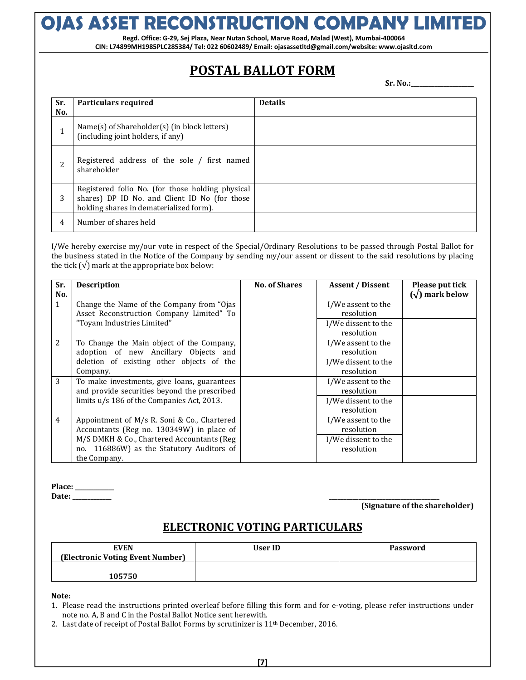# **OJAS ASSET RECONSTRUCTION COMPANY LIMITED**

**Regd. Office: G-29, Sej Plaza, Near Nutan School, Marve Road, Malad (West), Mumbai-400064 CIN: L74899MH1985PLC285384/ Tel: 022 60602489/ Email: ojasassetltd@gmail.com/website: www.ojasltd.com**

### **POSTAL BALLOT FORM**

**Sr. No.:\_\_\_\_\_\_\_\_\_\_\_\_\_\_\_\_\_\_\_\_\_**

| Sr.<br>No.               | <b>Particulars required</b>                                                                                                                  | <b>Details</b> |
|--------------------------|----------------------------------------------------------------------------------------------------------------------------------------------|----------------|
| 1                        | Name(s) of Shareholder(s) (in block letters)<br>(including joint holders, if any)                                                            |                |
| $\overline{\mathcal{L}}$ | Registered address of the sole / first named<br>shareholder                                                                                  |                |
| 3                        | Registered folio No. (for those holding physical<br>shares) DP ID No. and Client ID No (for those<br>holding shares in dematerialized form). |                |
| 4                        | Number of shares held                                                                                                                        |                |

I/We hereby exercise my/our vote in respect of the Special/Ordinary Resolutions to be passed through Postal Ballot for the business stated in the Notice of the Company by sending my/our assent or dissent to the said resolutions by placing the tick  $(\sqrt{\ } )$  mark at the appropriate box below:

| Sr.            | <b>Description</b>                           | <b>No. of Shares</b> | <b>Assent / Dissent</b> | Please put tick |
|----------------|----------------------------------------------|----------------------|-------------------------|-----------------|
| No.            |                                              |                      |                         | (√) mark below  |
| $\mathbf{1}$   | Change the Name of the Company from "Ojas"   |                      | I/We assent to the      |                 |
|                | Asset Reconstruction Company Limited" To     |                      | resolution              |                 |
|                | "Toyam Industries Limited"                   |                      | I/We dissent to the     |                 |
|                |                                              |                      | resolution              |                 |
| 2              | To Change the Main object of the Company,    |                      | I/We assent to the      |                 |
|                | adoption of new Ancillary Objects and        |                      | resolution              |                 |
|                | deletion of existing other objects of the    |                      | I/We dissent to the     |                 |
|                | Company.                                     |                      | resolution              |                 |
| 3              | To make investments, give loans, guarantees  |                      | I/We assent to the      |                 |
|                | and provide securities beyond the prescribed |                      | resolution              |                 |
|                | limits u/s 186 of the Companies Act, 2013.   |                      | I/We dissent to the     |                 |
|                |                                              |                      | resolution              |                 |
| $\overline{4}$ | Appointment of M/s R. Soni & Co., Chartered  |                      | I/We assent to the      |                 |
|                | Accountants (Reg no. 130349W) in place of    |                      | resolution              |                 |
|                | M/S DMKH & Co., Chartered Accountants (Reg   |                      | I/We dissent to the     |                 |
|                | no. 116886W) as the Statutory Auditors of    |                      | resolution              |                 |
|                | the Company.                                 |                      |                         |                 |

**Place: \_\_\_\_\_\_\_\_\_\_\_\_\_ Date: \_\_\_\_\_\_\_\_\_\_\_\_\_ \_\_\_\_\_\_\_\_\_\_\_\_\_\_\_\_\_\_\_\_\_\_\_\_\_\_\_\_\_\_\_\_\_\_\_\_\_**

**(Signature of the shareholder)**

### **ELECTRONIC VOTING PARTICULARS**

| <b>EVEN</b><br>(Electronic Voting Event Number) | User ID | Password |
|-------------------------------------------------|---------|----------|
| 105750                                          |         |          |

**Note:**

2. Last date of receipt of Postal Ballot Forms by scrutinizer is 11th December, 2016.

<sup>1.</sup> Please read the instructions printed overleaf before filling this form and for e-voting, please refer instructions under note no. A, B and C in the Postal Ballot Notice sent herewith.